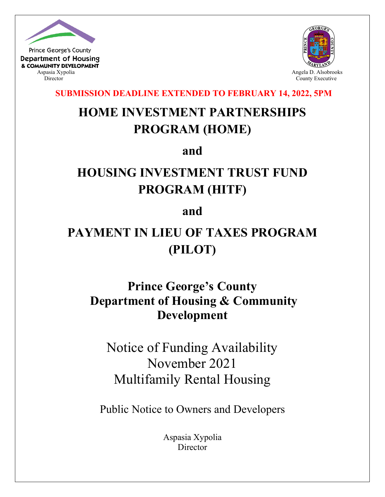

**Department of Housing** & COMMUNITY DEVELOPMENT



**SUBMISSION DEADLINE EXTENDED TO FEBRUARY 14, 2022, 5PM**

# **HOME INVESTMENT PARTNERSHIPS PROGRAM (HOME)**

**and**

## **HOUSING INVESTMENT TRUST FUND PROGRAM (HITF)**

**and**

## **PAYMENT IN LIEU OF TAXES PROGRAM (PILOT)**

## **Prince George's County Department of Housing & Community Development**

Notice of Funding Availability November 2021 Multifamily Rental Housing

Public Notice to Owners and Developers

Aspasia Xypolia Director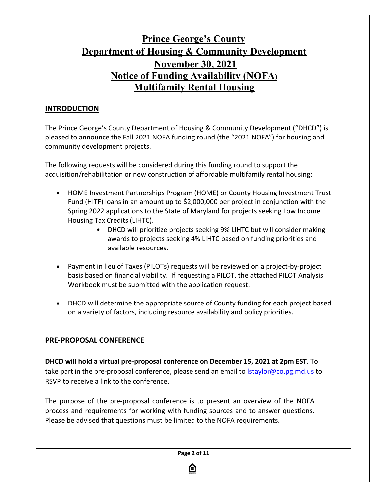## **Prince George's County Department of Housing & Community Development November 30, 2021 Notice of Funding Availability (NOFA) Multifamily Rental Housing**

## **INTRODUCTION**

The Prince George's County Department of Housing & Community Development ("DHCD") is pleased to announce the Fall 2021 NOFA funding round (the "2021 NOFA") for housing and community development projects.

The following requests will be considered during this funding round to support the acquisition/rehabilitation or new construction of affordable multifamily rental housing:

- HOME Investment Partnerships Program (HOME) or County Housing Investment Trust Fund (HITF) loans in an amount up to \$2,000,000 per project in conjunction with the Spring 2022 applications to the State of Maryland for projects seeking Low Income Housing Tax Credits (LIHTC).
	- DHCD will prioritize projects seeking 9% LIHTC but will consider making awards to projects seeking 4% LIHTC based on funding priorities and available resources.
- Payment in lieu of Taxes (PILOTs) requests will be reviewed on a project-by-project basis based on financial viability. If requesting a PILOT, the attached PILOT Analysis Workbook must be submitted with the application request.
- DHCD will determine the appropriate source of County funding for each project based on a variety of factors, including resource availability and policy priorities.

### **PRE-PROPOSAL CONFERENCE**

**DHCD will hold a virtual pre-proposal conference on December 15, 2021 at 2pm EST**. To take part in the pre-proposal conference, please send an email to *staylor@co.pg.md.us* to RSVP to receive a link to the conference.

The purpose of the pre-proposal conference is to present an overview of the NOFA process and requirements for working with funding sources and to answer questions. Please be advised that questions must be limited to the NOFA requirements.

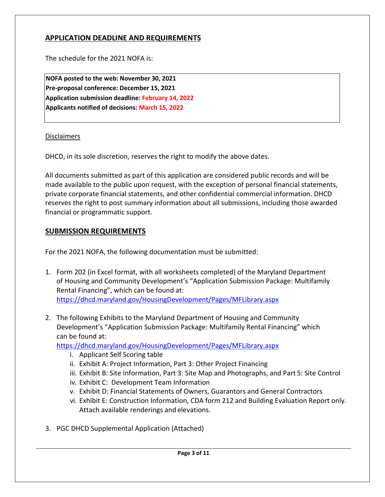## **APPLICATION DEADLINE AND REQUIREMENTS**

The schedule for the 2021 NOFA is:

**NOFA posted to the web: November 30, 2021 Pre-proposal conference: December 15, 2021 Application submission deadline: February 14, 2022 Applicants notified of decisions: March 15, 2022**

#### Disclaimers

DHCD, in its sole discretion, reserves the right to modify the above dates.

All documents submitted as part of this application are considered public records and will be made available to the public upon request, with the exception of personal financial statements, private corporate financial statements, and other confidential commercial information. DHCD reserves the right to post summary information about all submissions, including those awarded financial or programmatic support.

#### **SUBMISSION REQUIREMENTS**

For the 2021 NOFA, the following documentation must be submitted:

- 1. Form 202 (in Excel format, with all worksheets completed) of the Maryland Department of Housing and Community Development's "Application Submission Package: Multifamily Rental Financing", which can be found at: <https://dhcd.maryland.gov/HousingDevelopment/Pages/MFLibrary.aspx>
- 2. The following Exhibits to the Maryland Department of Housing and Community Development's "Application Submission Package: Multifamily Rental Financing" which can be found at:

<https://dhcd.maryland.gov/HousingDevelopment/Pages/MFLibrary.aspx>

- i. Applicant Self Scoring table
- ii. Exhibit A: Project Information, Part 3: Other Project Financing
- iii. Exhibit B: Site Information, Part 3: Site Map and Photographs, and Part 5: Site Control
- iv. Exhibit C: Development Team Information
- v. Exhibit D: Financial Statements of Owners, Guarantors and General Contractors
- vi. Exhibit E: Construction Information, CDA form 212 and Building Evaluation Report only. Attach available renderings and elevations.
- 3. PGC DHCD Supplemental Application (Attached)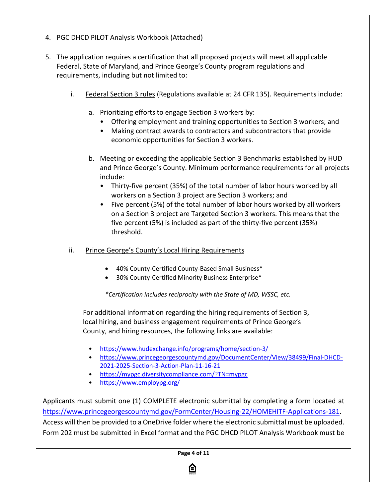- 4. PGC DHCD PILOT Analysis Workbook (Attached)
- 5. The application requires a certification that all proposed projects will meet all applicable Federal, State of Maryland, and Prince George's County program regulations and requirements, including but not limited to:
	- i. Federal Section 3 rules (Regulations available at 24 CFR 135). Requirements include:
		- a. Prioritizing efforts to engage Section 3 workers by:
			- Offering employment and training opportunities to Section 3 workers; and
			- Making contract awards to contractors and subcontractors that provide economic opportunities for Section 3 workers.
		- b. Meeting or exceeding the applicable Section 3 Benchmarks established by HUD and Prince George's County. Minimum performance requirements for all projects include:
			- Thirty-five percent (35%) of the total number of labor hours worked by all workers on a Section 3 project are Section 3 workers; and
			- Five percent (5%) of the total number of labor hours worked by all workers on a Section 3 project are Targeted Section 3 workers. This means that the five percent (5%) is included as part of the thirty-five percent (35%) threshold.
	- ii. Prince George's County's Local Hiring Requirements
		- 40% County-Certified County-Based Small Business\*
		- 30% County-Certified Minority Business Enterprise\*

*\*Certification includes reciprocity with the State of MD, WSSC, etc.*

For additional information regarding the hiring requirements of Section 3, local hiring, and business engagement requirements of Prince George's County, and hiring resources, the following links are available:

- <https://www.hudexchange.info/programs/home/section-3/>
- [https://www.princegeorgescountymd.gov/DocumentCenter/View/38499/Final-DHCD-](https://www.princegeorgescountymd.gov/DocumentCenter/View/38499/Final-DHCD-2021-2025-Section-3-Action-Plan-11-16-21)[2021-2025-Section-3-Action-Plan-11-16-21](https://www.princegeorgescountymd.gov/DocumentCenter/View/38499/Final-DHCD-2021-2025-Section-3-Action-Plan-11-16-21)
- <https://mypgc.diversitycompliance.com/?TN=mypgc>
- [https://www.employpg.org/](https://www.hudexchange.info/programs/home/section-3/)

Applicants must submit one (1) COMPLETE electronic submittal by completing a form located at [https://www.princegeorgescountymd.gov/FormCenter/Housing-22/HOMEHITF-Applications-181.](https://www.princegeorgescountymd.gov/FormCenter/Housing-22/HOMEHITF-Applications-181) Access will then be provided to a OneDrive folder where the electronic submittal must be uploaded. Form 202 must be submitted in Excel format and the PGC DHCD PILOT Analysis Workbook must be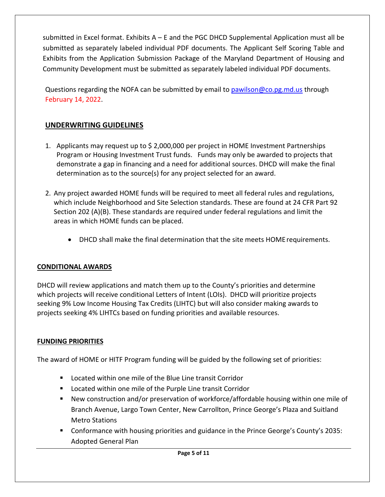submitted in Excel format. Exhibits A – E and the PGC DHCD Supplemental Application must all be submitted as separately labeled individual PDF documents. The Applicant Self Scoring Table and Exhibits from the Application Submission Package of the Maryland Department of Housing and Community Development must be submitted as separately labeled individual PDF documents.

Questions regarding the NOFA can be submitted by email t[o pawilson@co.pg.md.us](mailto:pawilson@co.pg.md.us) through February 14, 2022.

## **UNDERWRITING GUIDELINES**

- 1. Applicants may request up to \$ 2,000,000 per project in HOME Investment Partnerships Program or Housing Investment Trust funds. Funds may only be awarded to projects that demonstrate a gap in financing and a need for additional sources. DHCD will make the final determination as to the source(s) for any project selected for an award.
- 2. Any project awarded HOME funds will be required to meet all federal rules and regulations, which include Neighborhood and Site Selection standards. These are found at 24 CFR Part 92 Section 202 (A)(B). These standards are required under federal regulations and limit the areas in which HOME funds can be placed.
	- DHCD shall make the final determination that the site meets HOME requirements.

### **CONDITIONAL AWARDS**

DHCD will review applications and match them up to the County's priorities and determine which projects will receive conditional Letters of Intent (LOIs). DHCD will prioritize projects seeking 9% Low Income Housing Tax Credits (LIHTC) but will also consider making awards to projects seeking 4% LIHTCs based on funding priorities and available resources.

### **FUNDING PRIORITIES**

The award of HOME or HITF Program funding will be guided by the following set of priorities:

- **Located within one mile of the Blue Line transit Corridor**
- Located within one mile of the Purple Line transit Corridor
- New construction and/or preservation of workforce/affordable housing within one mile of Branch Avenue, Largo Town Center, New Carrollton, Prince George's Plaza and Suitland Metro Stations
- **Conformance with housing priorities and guidance in the Prince George's County's 2035:** Adopted General Plan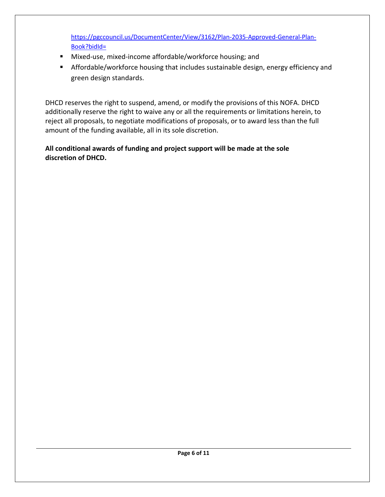[https://pgccouncil.us/DocumentCenter/View/3162/Plan-2035-Approved-General-Plan-](https://pgccouncil.us/DocumentCenter/View/3162/Plan-2035-Approved-General-Plan-Book?bidId=)[Book?bidId=](https://pgccouncil.us/DocumentCenter/View/3162/Plan-2035-Approved-General-Plan-Book?bidId=)

- Mixed-use, mixed-income affordable/workforce housing; and
- **Affordable/workforce housing that includes sustainable design, energy efficiency and** green design standards.

DHCD reserves the right to suspend, amend, or modify the provisions of this NOFA. DHCD additionally reserve the right to waive any or all the requirements or limitations herein, to reject all proposals, to negotiate modifications of proposals, or to award less than the full amount of the funding available, all in its sole discretion.

### **All conditional awards of funding and project support will be made at the sole discretion of DHCD.**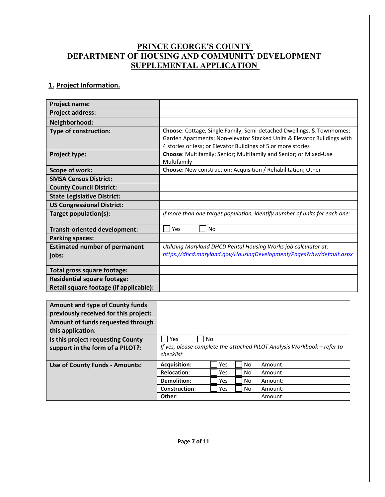## **PRINCE GEORGE'S COUNTY DEPARTMENT OF HOUSING AND COMMUNITY DEVELOPMENT SUPPLEMENTAL APPLICATION**

## **1. Project Information.**

| Project name:                          |                                                                                                                                          |
|----------------------------------------|------------------------------------------------------------------------------------------------------------------------------------------|
| <b>Project address:</b>                |                                                                                                                                          |
| Neighborhood:                          |                                                                                                                                          |
| Type of construction:                  | Choose: Cottage, Single Family, Semi-detached Dwellings, & Townhomes;                                                                    |
|                                        | Garden Apartments; Non-elevator Stacked Units & Elevator Buildings with<br>4 stories or less; or Elevator Buildings of 5 or more stories |
| <b>Project type:</b>                   | Choose: Multifamily; Senior; Multifamily and Senior; or Mixed-Use<br>Multifamily                                                         |
| Scope of work:                         | Choose: New construction; Acquisition / Rehabilitation; Other                                                                            |
| <b>SMSA Census District:</b>           |                                                                                                                                          |
| <b>County Council District:</b>        |                                                                                                                                          |
| <b>State Legislative District:</b>     |                                                                                                                                          |
| <b>US Congressional District:</b>      |                                                                                                                                          |
| Target population(s):                  | If more than one target population, identify number of units for each one:                                                               |
| Transit-oriented development:          | Yes<br><b>No</b>                                                                                                                         |
| <b>Parking spaces:</b>                 |                                                                                                                                          |
| <b>Estimated number of permanent</b>   | Utilizing Maryland DHCD Rental Housing Works job calculator at:                                                                          |
| jobs:                                  | https://dhcd.maryland.gov/HousingDevelopment/Pages?rhw/default.aspx                                                                      |
| Total gross square footage:            |                                                                                                                                          |
| <b>Residential square footage:</b>     |                                                                                                                                          |
| Retail square footage (if applicable): |                                                                                                                                          |

| <b>Amount and type of County funds</b><br>previously received for this project: |                                                                                                                                                                                                                                        |
|---------------------------------------------------------------------------------|----------------------------------------------------------------------------------------------------------------------------------------------------------------------------------------------------------------------------------------|
| Amount of funds requested through<br>this application:                          |                                                                                                                                                                                                                                        |
| Is this project requesting County<br>support in the form of a PILOT?:           | Yes<br><b>No</b><br>If yes, please complete the attached PILOT Analysis Workbook - refer to<br>checklist.                                                                                                                              |
| <b>Use of County Funds - Amounts:</b>                                           | <b>Acquisition:</b><br>N <sub>o</sub><br><b>Yes</b><br>Amount:<br><b>Relocation:</b><br>No<br><b>Yes</b><br>Amount:<br>Demolition:<br>No<br><b>Yes</b><br>Amount:<br>Construction:<br>No<br><b>Yes</b><br>Amount:<br>Other:<br>Amount: |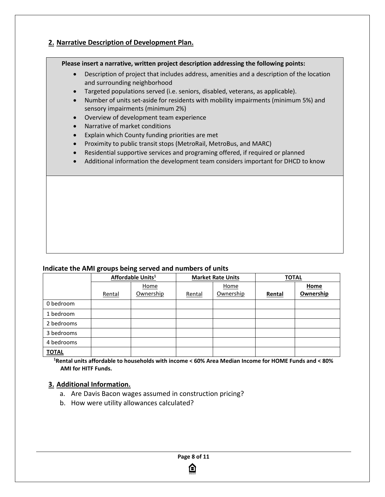#### **2. Narrative Description of Development Plan.**

#### **Please insert a narrative, written project description addressing the following points:**

- Description of project that includes address, amenities and a description of the location and surrounding neighborhood
- Targeted populations served (i.e. seniors, disabled, veterans, as applicable).
- Number of units set-aside for residents with mobility impairments (minimum 5%) and sensory impairments (minimum 2%)
- Overview of development team experience
- Narrative of market conditions
- Explain which County funding priorities are met
- Proximity to public transit stops (MetroRail, MetroBus, and MARC)
- Residential supportive services and programing offered, if required or planned
- Additional information the development team considers important for DHCD to know

#### **Indicate the AMI groups being served and numbers of units**

|              | Affordable Units <sup>1</sup> |           | <b>Market Rate Units</b> |           | <b>TOTAL</b> |           |
|--------------|-------------------------------|-----------|--------------------------|-----------|--------------|-----------|
|              |                               | Home      |                          | Home      |              | Home      |
|              | Rental                        | Ownership | Rental                   | Ownership | Rental       | Ownership |
| 0 bedroom    |                               |           |                          |           |              |           |
| 1 bedroom    |                               |           |                          |           |              |           |
| 2 bedrooms   |                               |           |                          |           |              |           |
| 3 bedrooms   |                               |           |                          |           |              |           |
| 4 bedrooms   |                               |           |                          |           |              |           |
| <b>TOTAL</b> |                               |           |                          |           |              |           |

**1 Rental units affordable to households with income < 60% Area Median Income for HOME Funds and < 80% AMI for HITF Funds.**

#### **3. Additional Information.**

- a. Are Davis Bacon wages assumed in construction pricing?
- b. How were utility allowances calculated?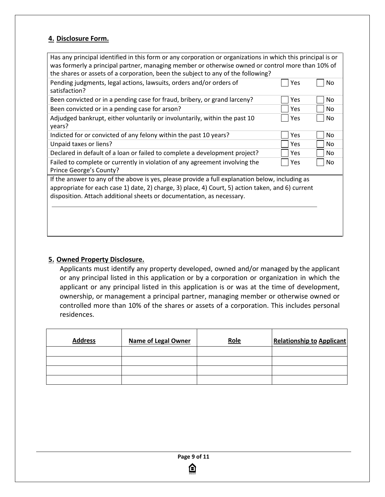#### **4. Disclosure Form.**

| Has any principal identified in this form or any corporation or organizations in which this principal is or<br>was formerly a principal partner, managing member or otherwise owned or control more than 10% of<br>the shares or assets of a corporation, been the subject to any of the following? |     |           |
|-----------------------------------------------------------------------------------------------------------------------------------------------------------------------------------------------------------------------------------------------------------------------------------------------------|-----|-----------|
| Pending judgments, legal actions, lawsuits, orders and/or orders of<br>satisfaction?                                                                                                                                                                                                                | Yes | No.       |
| Been convicted or in a pending case for fraud, bribery, or grand larceny?                                                                                                                                                                                                                           | Yes | No        |
| Been convicted or in a pending case for arson?                                                                                                                                                                                                                                                      | Yes | No.       |
| Adjudged bankrupt, either voluntarily or involuntarily, within the past 10<br>years?                                                                                                                                                                                                                | Yes | No.       |
| Indicted for or convicted of any felony within the past 10 years?                                                                                                                                                                                                                                   | Yes | No        |
| Unpaid taxes or liens?                                                                                                                                                                                                                                                                              | Yes | No.       |
| Declared in default of a loan or failed to complete a development project?                                                                                                                                                                                                                          | Yes | No.       |
| Failed to complete or currently in violation of any agreement involving the<br>Prince George's County?                                                                                                                                                                                              | Yes | <b>No</b> |
| If the answer to any of the above is yes, please provide a full explanation below, including as<br>appropriate for each case 1) date, 2) charge, 3) place, 4) Court, 5) action taken, and 6) current<br>disposition. Attach additional sheets or documentation, as necessary.                       |     |           |
|                                                                                                                                                                                                                                                                                                     |     |           |

#### **5. Owned Property Disclosure.**

Applicants must identify any property developed, owned and/or managed by the applicant or any principal listed in this application or by a corporation or organization in which the applicant or any principal listed in this application is or was at the time of development, ownership, or management a principal partner, managing member or otherwise owned or controlled more than 10% of the shares or assets of a corporation. This includes personal residences.

| <b>Address</b> | <b>Name of Legal Owner</b> | Role | <b>Relationship to Applicant</b> |
|----------------|----------------------------|------|----------------------------------|
|                |                            |      |                                  |
|                |                            |      |                                  |
|                |                            |      |                                  |
|                |                            |      |                                  |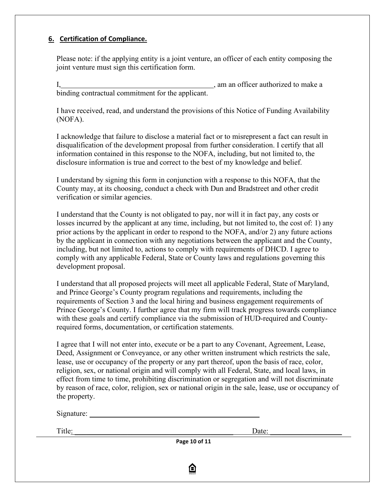#### **6. Certification of Compliance.**

Please note: if the applying entity is a joint venture, an officer of each entity composing the joint venture must sign this certification form.

I, , am an officer authorized to make a binding contractual commitment for the applicant.

I have received, read, and understand the provisions of this Notice of Funding Availability (NOFA).

I acknowledge that failure to disclose a material fact or to misrepresent a fact can result in disqualification of the development proposal from further consideration. I certify that all information contained in this response to the NOFA, including, but not limited to, the disclosure information is true and correct to the best of my knowledge and belief.

I understand by signing this form in conjunction with a response to this NOFA, that the County may, at its choosing, conduct a check with Dun and Bradstreet and other credit verification or similar agencies.

I understand that the County is not obligated to pay, nor will it in fact pay, any costs or losses incurred by the applicant at any time, including, but not limited to, the cost of: 1) any prior actions by the applicant in order to respond to the NOFA, and/or 2) any future actions by the applicant in connection with any negotiations between the applicant and the County, including, but not limited to, actions to comply with requirements of DHCD. I agree to comply with any applicable Federal, State or County laws and regulations governing this development proposal.

I understand that all proposed projects will meet all applicable Federal, State of Maryland, and Prince George's County program regulations and requirements, including the requirements of Section 3 and the local hiring and business engagement requirements of Prince George's County. I further agree that my firm will track progress towards compliance with these goals and certify compliance via the submission of HUD-required and Countyrequired forms, documentation, or certification statements.

I agree that I will not enter into, execute or be a part to any Covenant, Agreement, Lease, Deed, Assignment or Conveyance, or any other written instrument which restricts the sale, lease, use or occupancy of the property or any part thereof, upon the basis of race, color, religion, sex, or national origin and will comply with all Federal, State, and local laws, in effect from time to time, prohibiting discrimination or segregation and will not discriminate by reason of race, color, religion, sex or national origin in the sale, lease, use or occupancy of the property.

Signature:

Title: \_\_\_\_\_\_\_\_\_\_\_\_\_\_\_\_\_\_\_\_\_\_\_\_\_\_\_\_\_\_\_\_\_\_\_\_\_\_\_\_\_\_ Date: \_\_\_\_\_\_\_\_\_\_\_\_\_\_\_\_\_\_\_

**Page 10 of 11**

臼